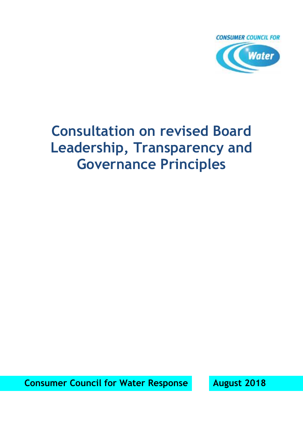

# **Consultation on revised Board Leadership, Transparency and Governance Principles**

**Consumer Council for Water Response | August 2018**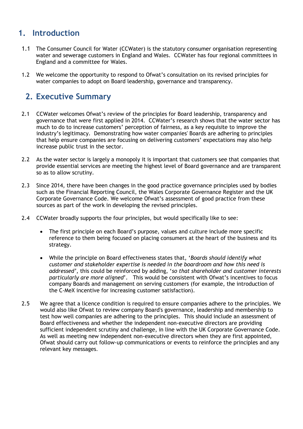# **1. Introduction**

- 1.1 The Consumer Council for Water (CCWater) is the statutory consumer organisation representing water and sewerage customers in England and Wales. CCWater has four regional committees in England and a committee for Wales.
- 1.2 We welcome the opportunity to respond to Ofwat's consultation on its revised principles for water companies to adopt on Board leadership, governance and transparency.

## **2. Executive Summary**

- 2.1 CCWater welcomes Ofwat's review of the principles for Board leadership, transparency and governance that were first applied in 2014. CCWater's research shows that the water sector has much to do to increase customers' perception of fairness, as a key requisite to improve the industry's legitimacy. Demonstrating how water companies' Boards are adhering to principles that help ensure companies are focusing on delivering customers' expectations may also help increase public trust in the sector.
- 2.2 As the water sector is largely a monopoly it is important that customers see that companies that provide essential services are meeting the highest level of Board governance and are transparent so as to allow scrutiny.
- 2.3 Since 2014, there have been changes in the good practice governance principles used by bodies such as the Financial Reporting Council, the Wales Corporate Governance Register and the UK Corporate Governance Code. We welcome Ofwat's assessment of good practice from these sources as part of the work in developing the revised principles.
- 2.4 CCWater broadly supports the four principles, but would specifically like to see:
	- The first principle on each Board's purpose, values and culture include more specific reference to them being focused on placing consumers at the heart of the business and its strategy.
	- While the principle on Board effectiveness states that, '*Boards should identify what customer and stakeholder expertise is needed in the boardroom and how this need is addressed'*, this could be reinforced by adding, '*so that shareholder and customer interests particularly are more aligned*'. This would be consistent with Ofwat's incentives to focus company Boards and management on serving customers (for example, the introduction of the C-MeX incentive for increasing customer satisfaction).
- 2.5 We agree that a licence condition is required to ensure companies adhere to the principles. We would also like Ofwat to review company Board's governance, leadership and membership to test how well companies are adhering to the principles. This should include an assessment of Board effectiveness and whether the independent non-executive directors are providing sufficient independent scrutiny and challenge, in line with the UK Corporate Governance Code. As well as meeting new independent non-executive directors when they are first appointed, Ofwat should carry out follow-up communications or events to reinforce the principles and any relevant key messages.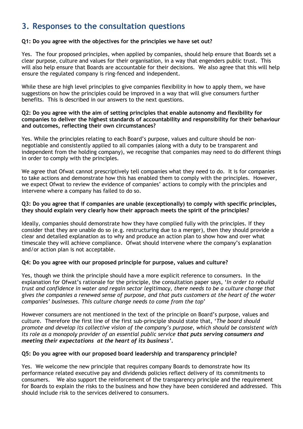# **3. Responses to the consultation questions**

#### **Q1: Do you agree with the objectives for the principles we have set out?**

Yes. The four proposed principles, when applied by companies, should help ensure that Boards set a clear purpose, culture and values for their organisation, in a way that engenders public trust. This will also help ensure that Boards are accountable for their decisions. We also agree that this will help ensure the regulated company is ring-fenced and independent.

While these are high level principles to give companies flexibility in how to apply them, we have suggestions on how the principles could be improved in a way that will give consumers further benefits. This is described in our answers to the next questions.

#### **Q2: Do you agree with the aim of setting principles that enable autonomy and flexibility for companies to deliver the highest standards of accountability and responsibility for their behaviour and outcomes, reflecting their own circumstances?**

Yes. While the principles relating to each Board's purpose, values and culture should be nonnegotiable and consistently applied to all companies (along with a duty to be transparent and independent from the holding company), we recognise that companies may need to do different things in order to comply with the principles.

We agree that Ofwat cannot prescriptively tell companies what they need to do. It is for companies to take actions and demonstrate how this has enabled them to comply with the principles. However, we expect Ofwat to review the evidence of companies' actions to comply with the principles and intervene where a company has failed to do so.

#### **Q3: Do you agree that if companies are unable (exceptionally) to comply with specific principles, they should explain very clearly how their approach meets the spirit of the principles?**

Ideally, companies should demonstrate how they have complied fully with the principles. If they consider that they are unable do so (e.g. restructuring due to a merger), then they should provide a clear and detailed explanation as to why and produce an action plan to show how and over what timescale they will achieve compliance. Ofwat should intervene where the company's explanation and/or action plan is not acceptable.

#### **Q4: Do you agree with our proposed principle for purpose, values and culture?**

Yes, though we think the principle should have a more explicit reference to consumers. In the explanation for Ofwat's rationale for the principle, the consultation paper says, '*In order to rebuild trust and confidence in water and regain sector legitimacy, there needs to be a culture change that gives the companies a renewed sense of purpose, and that puts customers at the heart of the water companies' businesses. This culture change needs to come from the top*'

However consumers are not mentioned in the text of the principle on Board's purpose, values and culture. Therefore the first line of the first sub-principle should state that, '*The board should promote and develop its collective vision of the company's purpose, which should be consistent with its role as a monopoly provider of an essential public service that puts serving consumers and meeting their expectations at the heart of its business'***.** 

### **Q5: Do you agree with our proposed board leadership and transparency principle?**

Yes. We welcome the new principle that requires company Boards to demonstrate how its performance related executive pay and dividends policies reflect delivery of its commitments to consumers. We also support the reinforcement of the transparency principle and the requirement for Boards to explain the risks to the business and how they have been considered and addressed. This should include risk to the services delivered to consumers.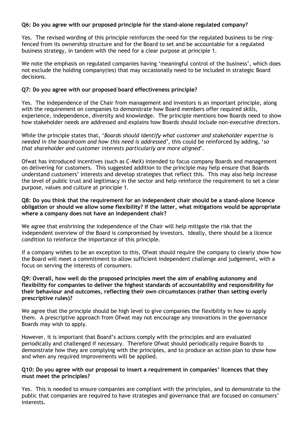## **Q6: Do you agree with our proposed principle for the stand-alone regulated company?**

Yes. The revised wording of this principle reinforces the need for the regulated business to be ringfenced from its ownership structure and for the Board to set and be accountable for a regulated business strategy, in tandem with the need for a clear purpose at principle 1.

We note the emphasis on regulated companies having 'meaningful control of the business', which does not exclude the holding company(ies) that may occasionally need to be included in strategic Board decisions.

#### **Q7: Do you agree with our proposed board effectiveness principle?**

Yes. The independence of the Chair from management and investors is an important principle, along with the requirement on companies to demonstrate how Board members offer required skills, experience, independence, diversity and knowledge. The principle mentions how Boards need to show how stakeholder needs are addressed and explains how Boards should include non-executive directors.

While the principle states that, '*Boards should identify what customer and stakeholder expertise is needed in the boardroom and how this need is addressed'*, this could be reinforced by adding, '*so that shareholder and customer interests particularly are more aligned*'.

Ofwat has introduced incentives (such as C-MeX) intended to focus company Boards and management on delivering for customers. This suggested addition to the principle may help ensure that Boards understand customers' interests and develop strategies that reflect this. This may also help increase the level of public trust and legitimacy in the sector and help reinforce the requirement to set a clear purpose, values and culture at principle 1.

#### **Q8: Do you think that the requirement for an independent chair should be a stand-alone licence obligation or should we allow some flexibility? If the latter, what mitigations would be appropriate where a company does not have an independent chair?**

We agree that enshrining the independence of the Chair will help mitigate the risk that the independent overview of the Board is compromised by investors. Ideally, there should be a licence condition to reinforce the importance of this principle.

If a company wishes to be an exception to this, Ofwat should require the company to clearly show how the Board will meet a commitment to allow sufficient independent challenge and judgement, with a focus on serving the interests of consumers.

#### **Q9: Overall, how well do the proposed principles meet the aim of enabling autonomy and flexibility for companies to deliver the highest standards of accountability and responsibility for their behaviour and outcomes, reflecting their own circumstances (rather than setting overly prescriptive rules)?**

We agree that the principle should be high level to give companies the flexibility in how to apply them. A prescriptive approach from Ofwat may not encourage any innovations in the governance Boards may wish to apply.

However, it is important that Board's actions comply with the principles and are evaluated periodically and challenged if necessary. Therefore Ofwat should periodically require Boards to demonstrate how they are complying with the principles, and to produce an action plan to show how and when any required improvements will be applied.

#### **Q10: Do you agree with our proposal to insert a requirement in companies' licences that they must meet the principles?**

Yes. This is needed to ensure companies are compliant with the principles, and to demonstrate to the public that companies are required to have strategies and governance that are focused on consumers' interests.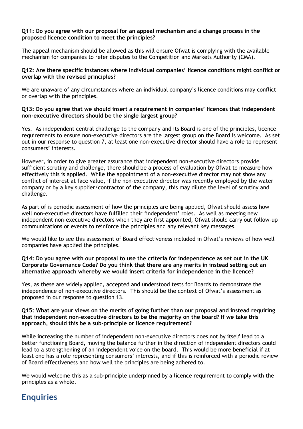#### **Q11: Do you agree with our proposal for an appeal mechanism and a change process in the proposed licence condition to meet the principles?**

The appeal mechanism should be allowed as this will ensure Ofwat is complying with the available mechanism for companies to refer disputes to the Competition and Markets Authority (CMA).

#### **Q12: Are there specific instances where individual companies' licence conditions might conflict or overlap with the revised principles?**

We are unaware of any circumstances where an individual company's licence conditions may conflict or overlap with the principles.

#### **Q13: Do you agree that we should insert a requirement in companies' licences that independent non-executive directors should be the single largest group?**

Yes. As independent central challenge to the company and its Board is one of the principles, licence requirements to ensure non-executive directors are the largest group on the Board is welcome. As set out in our response to question 7, at least one non-executive director should have a role to represent consumers' interests.

However, in order to give greater assurance that independent non-executive directors provide sufficient scrutiny and challenge, there should be a process of evaluation by Ofwat to measure how effectively this is applied. While the appointment of a non-executive director may not show any conflict of interest at face value, if the non-executive director was recently employed by the water company or by a key supplier/contractor of the company, this may dilute the level of scrutiny and challenge.

As part of is periodic assessment of how the principles are being applied, Ofwat should assess how well non-executive directors have fulfilled their 'independent' roles. As well as meeting new independent non-executive directors when they are first appointed, Ofwat should carry out follow-up communications or events to reinforce the principles and any relevant key messages.

We would like to see this assessment of Board effectiveness included in Ofwat's reviews of how well companies have applied the principles.

#### **Q14: Do you agree with our proposal to use the criteria for independence as set out in the UK Corporate Governance Code? Do you think that there are any merits in instead setting out an alternative approach whereby we would insert criteria for independence in the licence?**

Yes, as these are widely applied, accepted and understood tests for Boards to demonstrate the independence of non-executive directors. This should be the context of Ofwat's assessment as proposed in our response to question 13.

#### **Q15: What are your views on the merits of going further than our proposal and instead requiring that independent non-executive directors to be the majority on the board? If we take this approach, should this be a sub-principle or licence requirement?**

While increasing the number of independent non-executive directors does not by itself lead to a better functioning Board, moving the balance further in the direction of independent directors could lead to a strengthening of an independent voice on the board. This would be more beneficial if at least one has a role representing consumers' interests, and if this is reinforced with a periodic review of Board effectiveness and how well the principles are being adhered to.

We would welcome this as a sub-principle underpinned by a licence requirement to comply with the principles as a whole.

# **Enquiries**